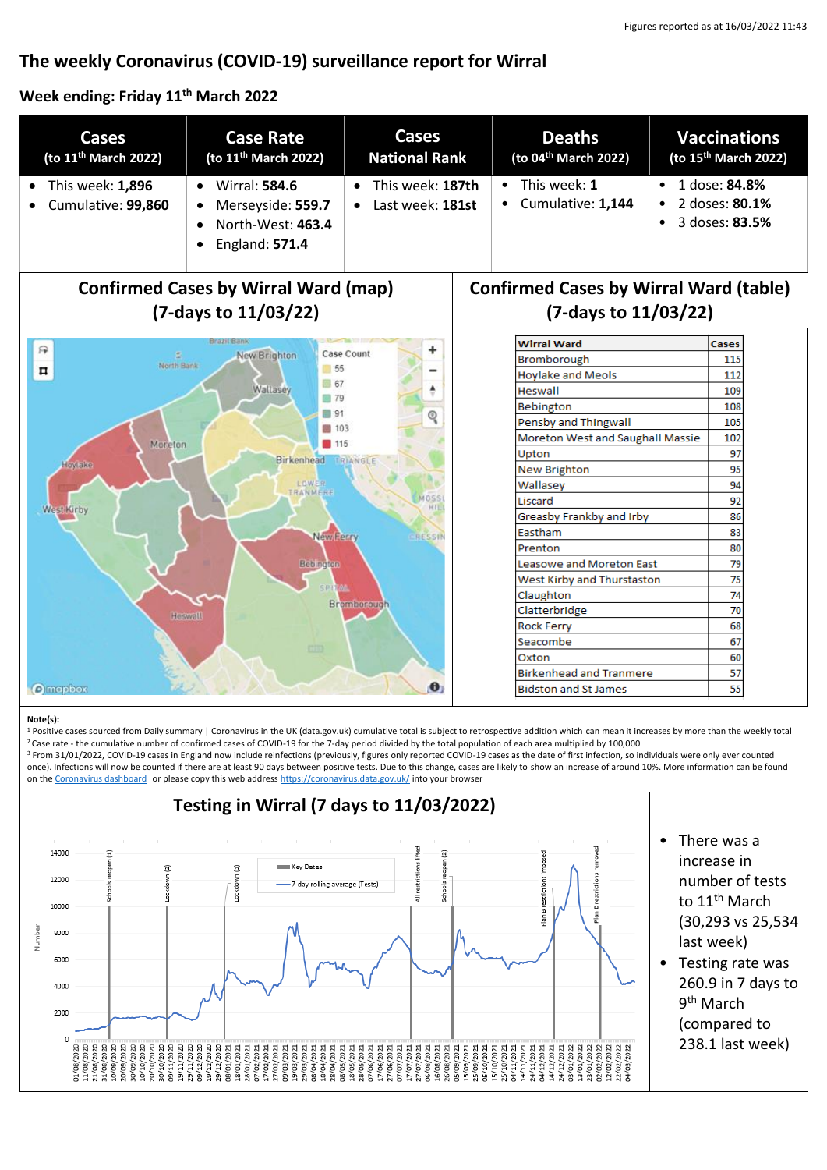# **The weekly Coronavirus (COVID-19) surveillance report for Wirral**

## **Week ending: Friday 11th March 2022**

| <b>Cases</b><br>(to 11 <sup>th</sup> March 2022)                                                                                                          | <b>Case Rate</b><br>(to 11 <sup>th</sup> March 2022)                                                       | <b>Cases</b><br><b>National Rank</b> | <b>Deaths</b><br>(to 04 <sup>th</sup> March 2022)                                                                                                        |           | <b>Vaccinations</b><br>(to 15 <sup>th</sup> March 2022) |
|-----------------------------------------------------------------------------------------------------------------------------------------------------------|------------------------------------------------------------------------------------------------------------|--------------------------------------|----------------------------------------------------------------------------------------------------------------------------------------------------------|-----------|---------------------------------------------------------|
| This week: 1,896<br>Cumulative: 99,860                                                                                                                    | <b>Wirral: 584.6</b><br>$\bullet$<br>Merseyside: 559.7<br>North-West: 463.4<br>England: 571.4<br>$\bullet$ | This week: 187th<br>Last week: 181st | This week: 1<br>$\bullet$<br>Cumulative: 1,144                                                                                                           | $\bullet$ | 1 dose: 84.8%<br>2 doses: 80.1%<br>3 doses: 83.5%       |
| <b>Confirmed Cases by Wirral Ward (map)</b><br><b>Confirmed Cases by Wirral Ward (table)</b>                                                              |                                                                                                            |                                      |                                                                                                                                                          |           |                                                         |
| (7-days to 11/03/22)                                                                                                                                      |                                                                                                            |                                      | (7-days to 11/03/22)                                                                                                                                     |           |                                                         |
| 厌<br>÷<br>New Brighton<br>Case Count<br>North Bank<br>55<br>n<br>67<br>Wallasey<br>▲<br>179<br>91<br>ବ୍<br>图 103<br>Moreton<br>115<br>Birkenhead TRIANGLE |                                                                                                            |                                      | <b>Wirral Ward</b><br>Bromborough<br><b>Hoylake and Meols</b><br>Heswall<br><b>Bebington</b><br>Pensby and Thingwall<br>Moreton West and Saughall Massie |           | <b>Cases</b>                                            |
|                                                                                                                                                           |                                                                                                            |                                      |                                                                                                                                                          |           | 115                                                     |
|                                                                                                                                                           |                                                                                                            |                                      |                                                                                                                                                          |           | 112                                                     |
|                                                                                                                                                           |                                                                                                            |                                      |                                                                                                                                                          |           | 109                                                     |
|                                                                                                                                                           |                                                                                                            |                                      |                                                                                                                                                          |           | 108                                                     |
|                                                                                                                                                           |                                                                                                            |                                      |                                                                                                                                                          |           | 105                                                     |
|                                                                                                                                                           |                                                                                                            |                                      |                                                                                                                                                          |           | 102                                                     |
|                                                                                                                                                           |                                                                                                            |                                      | Upton                                                                                                                                                    |           | 97                                                      |
| Hoylake<br><b>New Brighton</b><br><b>LOWER</b><br>Wallasey<br>TRANMERE<br>MOSS<br>Liscard<br>HIL<br>West Kirby                                            |                                                                                                            |                                      |                                                                                                                                                          |           | 95                                                      |
|                                                                                                                                                           |                                                                                                            |                                      |                                                                                                                                                          |           | 94                                                      |
|                                                                                                                                                           |                                                                                                            |                                      |                                                                                                                                                          |           | 92                                                      |
| Greasby Frankby and Irby                                                                                                                                  |                                                                                                            |                                      |                                                                                                                                                          | 86        |                                                         |
| Eastham<br>New Ferry<br>RESSIN                                                                                                                            |                                                                                                            |                                      |                                                                                                                                                          | 83        |                                                         |
| Prenton                                                                                                                                                   |                                                                                                            |                                      |                                                                                                                                                          | 80        |                                                         |
| Leasowe and Moreton East<br>Bebington                                                                                                                     |                                                                                                            |                                      |                                                                                                                                                          | 79        |                                                         |
| West Kirby and Thurstaston                                                                                                                                |                                                                                                            |                                      |                                                                                                                                                          | 75        |                                                         |
| Claughton<br>Bromborough                                                                                                                                  |                                                                                                            |                                      |                                                                                                                                                          | 74<br>70  |                                                         |
| Clatterbridge<br>Heswall<br><b>Rock Ferry</b>                                                                                                             |                                                                                                            |                                      |                                                                                                                                                          | 68        |                                                         |
| Seacombe                                                                                                                                                  |                                                                                                            |                                      |                                                                                                                                                          | 67        |                                                         |
| <b>CUD</b><br>Oxton                                                                                                                                       |                                                                                                            |                                      |                                                                                                                                                          |           | 60                                                      |
| <b>Birkenhead and Tranmere</b>                                                                                                                            |                                                                                                            |                                      |                                                                                                                                                          | 57        |                                                         |
| $\bullet$<br><b>O</b> mapbox<br><b>Bidston and St James</b>                                                                                               |                                                                                                            |                                      |                                                                                                                                                          | 55        |                                                         |

#### **Note(s):**

1 Positive cases sourced from Daily summary | Coronavirus in the UK (data.gov.uk) cumulative total is subject to retrospective addition which can mean it increases by more than the weekly total <sup>2</sup>Case rate - the cumulative number of confirmed cases of COVID-19 for the 7-day period divided by the total population of each area multiplied by 100,000

<sup>3</sup> From 31/01/2022, COVID-19 cases in England now include reinfections (previously, figures only reported COVID-19 cases as the date of first infection, so individuals were only ever counted once). Infections will now be counted if there are at least 90 days between positive tests. Due to this change, cases are likely to show an increase of around 10%. More information can be found on the [Coronavirus dashboard](https://coronavirus.data.gov.uk/details/whats-new/record/af008739-ffa3-47b8-8efc-ef109f2cfbdd) or please copy this web addres[s https://coronavirus.data.gov.uk/](https://coronavirus.data.gov.uk/) into your browser

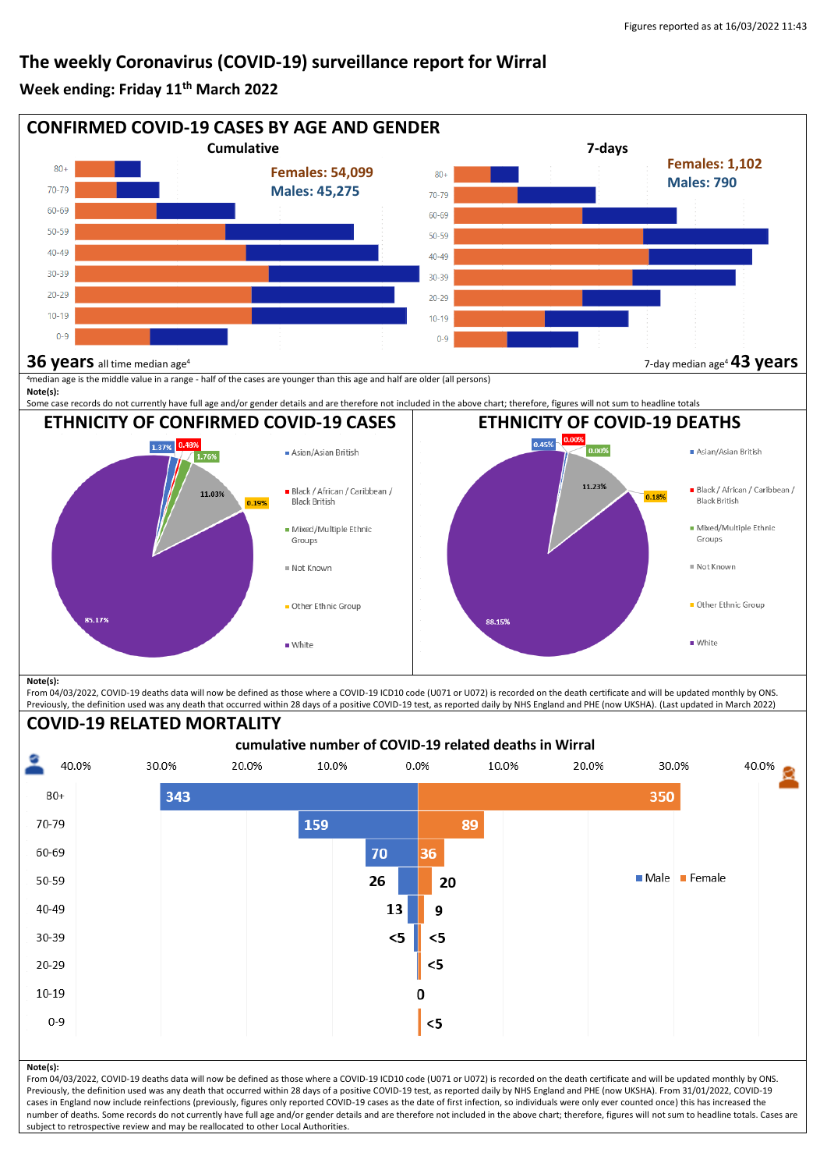## **The weekly Coronavirus (COVID-19) surveillance report for Wirral**

## **Week ending: Friday 11th March 2022**



From 04/03/2022, COVID-19 deaths data will now be defined as those where a COVID-19 ICD10 code (U071 or U072) is recorded on the death certificate and will be updated monthly by ONS. Previously, the definition used was any death that occurred within 28 days of a positive COVID-19 test, as reported daily by NHS England and PHE (now UKSHA). (Last updated in March 2022)

#### **COVID-19 RELATED MORTALITY**